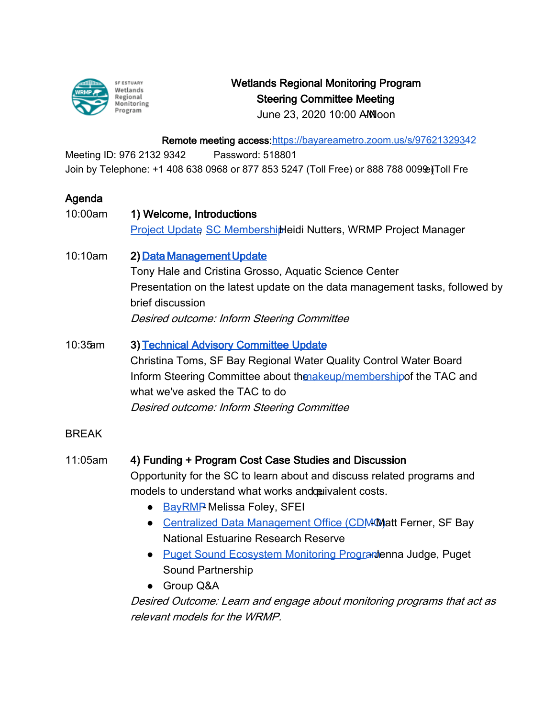

## Wetlands Regional Monitoring Program Steering Committee Meeting

June 23, 2020 10:00 AM oon

Remote meeting access[: https://bayareametro.zoom.us/s/9762132934](https://gcc01.safelinks.protection.outlook.com/?url=https%3A%2F%2Fbayareametro.zoom.us%2Fs%2F97621329342&data=02%7C01%7Ckelly.santos%40sfestuary.org%7Ce2d0913d099d4bf121b808d80be5c4d2%7C0d1e7a5560f044919f2e363ea94f5c87%7C0%7C0%7C637272428763041630&sdata=7JYHZuxwydujScFNIq9pHJIJyNcWoGYc0ZVX54vmCbA%3D&reserved=0)2

Meeting ID: 976 2132 9342 Password: 518801 Join by Telephone: +1 408 638 0968 or 877 853 5247 (Toll Free) or 888 788 009 @ [Toll Fre

## Agenda

| 10:00am      | 1) Welcome, Introductions                                                                       |
|--------------|-------------------------------------------------------------------------------------------------|
|              | <b>Project Update SC MembershijHeidi Nutters, WRMP Project Manager</b>                          |
| 10:10am      | 2) Data Management Update                                                                       |
|              | Tony Hale and Cristina Grosso, Aquatic Science Center                                           |
|              | Presentation on the latest update on the data management tasks, followed by<br>brief discussion |
|              |                                                                                                 |
|              | Desired outcome: Inform Steering Committee                                                      |
| 10:35am      | 3) Technical Advisory Committee Update                                                          |
|              | Christina Toms, SF Bay Regional Water Quality Control Water Board                               |
|              | Inform Steering Committee about thenakeup/membership of the TAC and                             |
|              | what we've asked the TAC to do                                                                  |
|              | Desired outcome: Inform Steering Committee                                                      |
| <b>BREAK</b> |                                                                                                 |
| 11:05am      | 4) Funding + Program Cost Case Studies and Discussion                                           |
|              | Opportunity for the SC to learn about and discuss related programs and                          |
|              | models to understand what works andcouivalent costs.                                            |
|              | <b>BayRMP Melissa Foley, SFEI</b><br>$\bullet$                                                  |
|              | Centralized Data Management Office (CDM Matt Ferner, SF Bay                                     |
|              | <b>National Estuarine Research Reserve</b>                                                      |
|              | <b>Puget Sound Ecosystem Monitoring Programenna Judge, Puget</b><br>$\bullet$                   |
|              | <b>Sound Partnership</b>                                                                        |
|              | • Group Q&A                                                                                     |
|              | Desired Outcome: Learn and engage about monitoring programs that act as                         |
|              | relevant models for the WRMP.                                                                   |